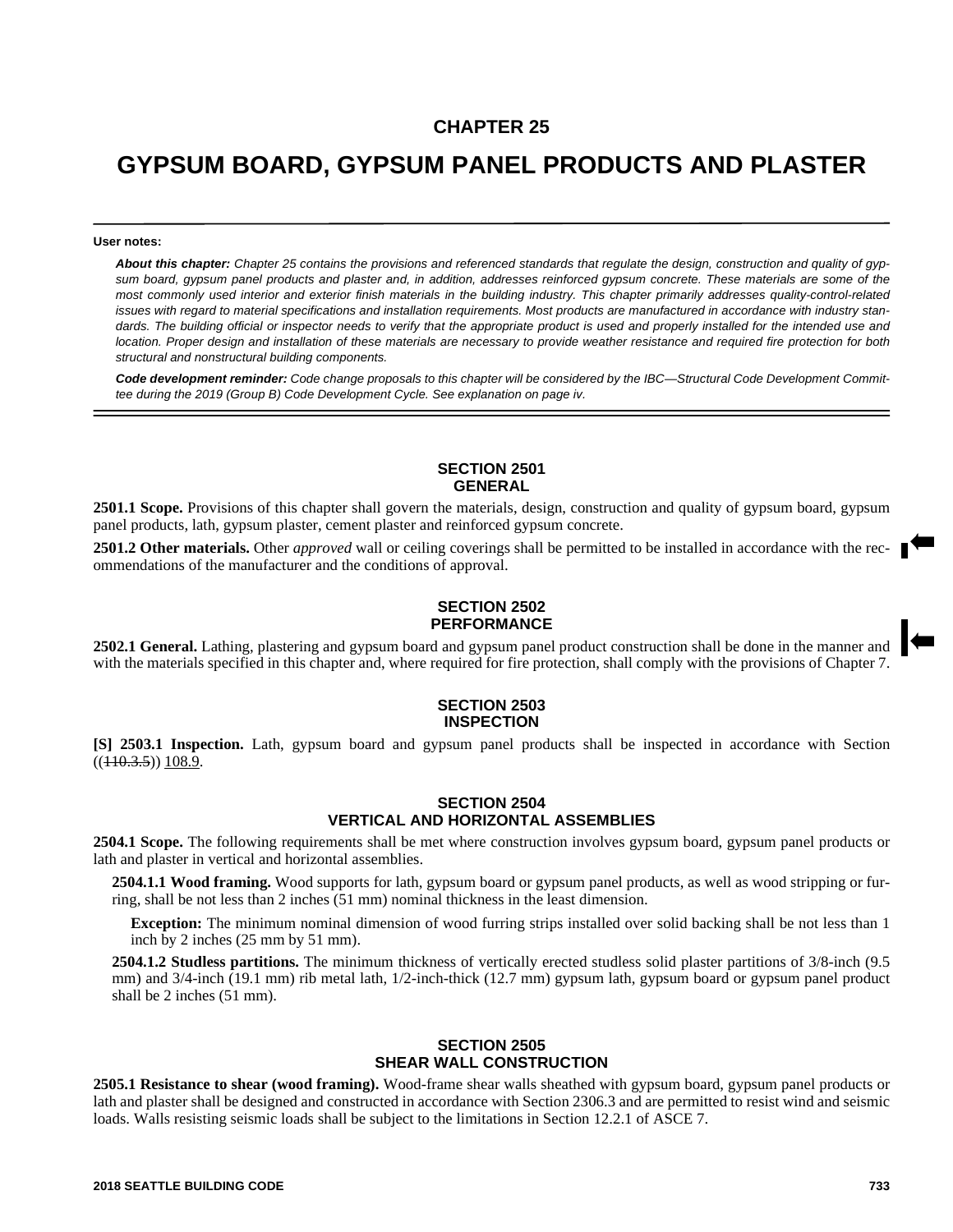# **CHAPTER 25**

# **GYPSUM BOARD, GYPSUM PANEL PRODUCTS AND PLASTER**

#### **User notes:**

*About this chapter: Chapter 25 contains the provisions and referenced standards that regulate the design, construction and quality of gypsum board, gypsum panel products and plaster and, in addition, addresses reinforced gypsum concrete. These materials are some of the most commonly used interior and exterior finish materials in the building industry. This chapter primarily addresses quality-control-related issues with regard to material specifications and installation requirements. Most products are manufactured in accordance with industry standards. The building official or inspector needs to verify that the appropriate product is used and properly installed for the intended use and location. Proper design and installation of these materials are necessary to provide weather resistance and required fire protection for both structural and nonstructural building components.*

*Code development reminder: Code change proposals to this chapter will be considered by the IBC—Structural Code Development Committee during the 2019 (Group B) Code Development Cycle. See explanation on page iv.*

#### **SECTION 2501 GENERAL**

**2501.1 Scope.** Provisions of this chapter shall govern the materials, design, construction and quality of gypsum board, gypsum panel products, lath, gypsum plaster, cement plaster and reinforced gypsum concrete.

**2501.2 Other materials.** Other *approved* wall or ceiling coverings shall be permitted to be installed in accordance with the recommendations of the manufacturer and the conditions of approval.

## **SECTION 2502 PERFORMANCE**

**2502.1 General.** Lathing, plastering and gypsum board and gypsum panel product construction shall be done in the manner and with the materials specified in this chapter and, where required for fire protection, shall comply with the provisions of Chapter 7.

### **SECTION 2503 INSPECTION**

**[S] 2503.1 Inspection.** Lath, gypsum board and gypsum panel products shall be inspected in accordance with Section  $((110.3.5))$   $\underline{108.9}$ .

## **SECTION 2504 VERTICAL AND HORIZONTAL ASSEMBLIES**

**2504.1 Scope.** The following requirements shall be met where construction involves gypsum board, gypsum panel products or lath and plaster in vertical and horizontal assemblies.

**2504.1.1 Wood framing.** Wood supports for lath, gypsum board or gypsum panel products, as well as wood stripping or furring, shall be not less than 2 inches (51 mm) nominal thickness in the least dimension.

**Exception:** The minimum nominal dimension of wood furring strips installed over solid backing shall be not less than 1 inch by 2 inches (25 mm by 51 mm).

**2504.1.2 Studless partitions.** The minimum thickness of vertically erected studless solid plaster partitions of 3/8-inch (9.5 mm) and 3/4-inch (19.1 mm) rib metal lath, 1/2-inch-thick (12.7 mm) gypsum lath, gypsum board or gypsum panel product shall be 2 inches (51 mm).

#### **SECTION 2505 SHEAR WALL CONSTRUCTION**

**2505.1 Resistance to shear (wood framing).** Wood-frame shear walls sheathed with gypsum board, gypsum panel products or lath and plaster shall be designed and constructed in accordance with Section 2306.3 and are permitted to resist wind and seismic loads. Walls resisting seismic loads shall be subject to the limitations in Section 12.2.1 of ASCE 7.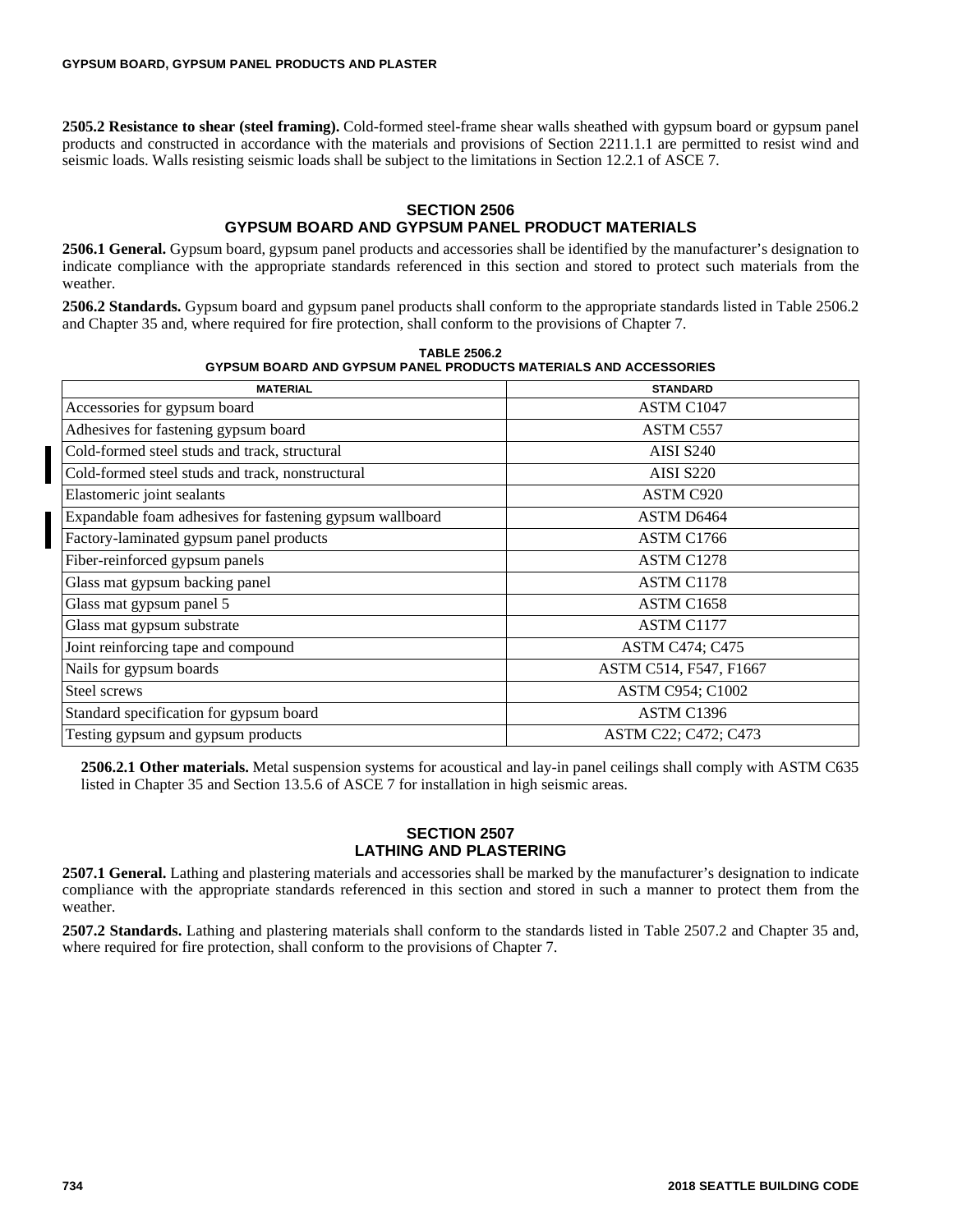**2505.2 Resistance to shear (steel framing).** Cold-formed steel-frame shear walls sheathed with gypsum board or gypsum panel products and constructed in accordance with the materials and provisions of Section 2211.1.1 are permitted to resist wind and seismic loads. Walls resisting seismic loads shall be subject to the limitations in Section 12.2.1 of ASCE 7.

# **SECTION 2506 GYPSUM BOARD AND GYPSUM PANEL PRODUCT MATERIALS**

**2506.1 General.** Gypsum board, gypsum panel products and accessories shall be identified by the manufacturer's designation to indicate compliance with the appropriate standards referenced in this section and stored to protect such materials from the weather.

**2506.2 Standards.** Gypsum board and gypsum panel products shall conform to the appropriate standards listed in Table 2506.2 and Chapter 35 and, where required for fire protection, shall conform to the provisions of Chapter 7.

| <b>MATERIAL</b>                                          | <b>STANDARD</b>        |
|----------------------------------------------------------|------------------------|
| Accessories for gypsum board                             | ASTM C1047             |
| Adhesives for fastening gypsum board                     | ASTM C557              |
| Cold-formed steel studs and track, structural            | <b>AISI S240</b>       |
| Cold-formed steel studs and track, nonstructural         | <b>AISI S220</b>       |
| Elastomeric joint sealants                               | ASTM C920              |
| Expandable foam adhesives for fastening gypsum wallboard | ASTM D6464             |
| Factory-laminated gypsum panel products                  | ASTM C1766             |
| Fiber-reinforced gypsum panels                           | ASTM C1278             |
| Glass mat gypsum backing panel                           | ASTM C1178             |
| Glass mat gypsum panel 5                                 | ASTM C1658             |
| Glass mat gypsum substrate                               | ASTM C1177             |
| Joint reinforcing tape and compound                      | <b>ASTM C474; C475</b> |
| Nails for gypsum boards                                  | ASTM C514, F547, F1667 |
| Steel screws                                             | ASTM C954; C1002       |
| Standard specification for gypsum board                  | ASTM C1396             |
| Testing gypsum and gypsum products                       | ASTM C22; C472; C473   |

**TABLE 2506.2 GYPSUM BOARD AND GYPSUM PANEL PRODUCTS MATERIALS AND ACCESSORIES**

**2506.2.1 Other materials.** Metal suspension systems for acoustical and lay-in panel ceilings shall comply with ASTM C635 listed in Chapter 35 and Section 13.5.6 of ASCE 7 for installation in high seismic areas.

# **SECTION 2507 LATHING AND PLASTERING**

**2507.1 General.** Lathing and plastering materials and accessories shall be marked by the manufacturer's designation to indicate compliance with the appropriate standards referenced in this section and stored in such a manner to protect them from the weather.

**2507.2 Standards.** Lathing and plastering materials shall conform to the standards listed in Table 2507.2 and Chapter 35 and, where required for fire protection, shall conform to the provisions of Chapter 7.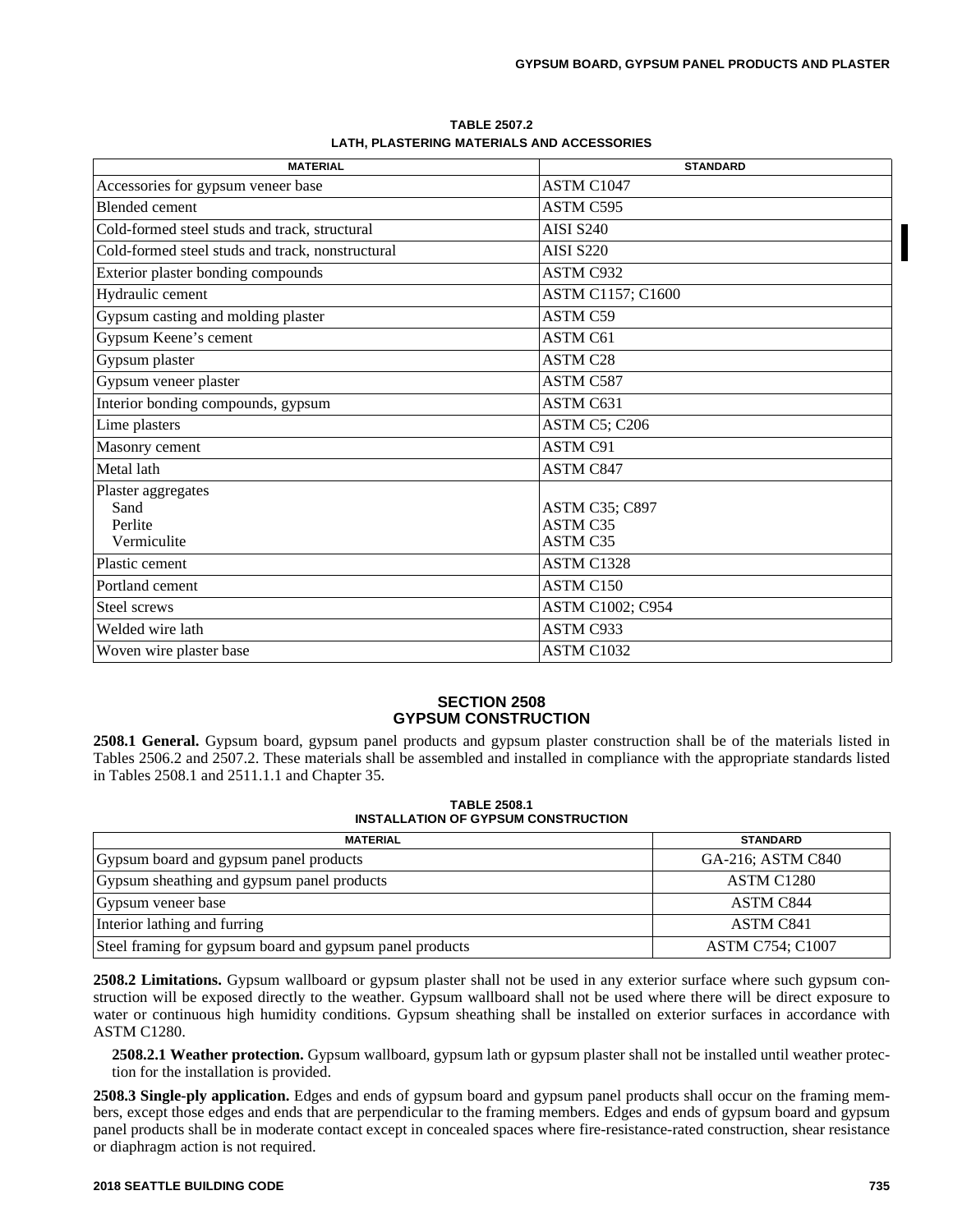| <b>MATERIAL</b>                                  | <b>STANDARD</b>       |
|--------------------------------------------------|-----------------------|
| Accessories for gypsum veneer base               | ASTM C1047            |
| <b>Blended</b> cement                            | ASTM C595             |
| Cold-formed steel studs and track, structural    | <b>AISI S240</b>      |
| Cold-formed steel studs and track, nonstructural | <b>AISI S220</b>      |
| Exterior plaster bonding compounds               | ASTM C932             |
| Hydraulic cement                                 | ASTM C1157; C1600     |
| Gypsum casting and molding plaster               | ASTM C59              |
| Gypsum Keene's cement                            | <b>ASTM C61</b>       |
| Gypsum plaster                                   | <b>ASTM C28</b>       |
| Gypsum veneer plaster                            | <b>ASTM C587</b>      |
| Interior bonding compounds, gypsum               | ASTM C631             |
| Lime plasters                                    | ASTM C5; C206         |
| Masonry cement                                   | <b>ASTM C91</b>       |
| Metal lath                                       | <b>ASTM C847</b>      |
| Plaster aggregates                               |                       |
| Sand                                             | <b>ASTM C35; C897</b> |
| Perlite                                          | ASTM C35              |
| Vermiculite                                      | ASTM C35              |
| Plastic cement                                   | ASTM C1328            |
| Portland cement                                  | ASTM C150             |
| Steel screws                                     | ASTM C1002; C954      |
| Welded wire lath                                 | ASTM C933             |
| Woven wire plaster base                          | ASTM C1032            |

**TABLE 2507.2 LATH, PLASTERING MATERIALS AND ACCESSORIES**

# **SECTION 2508 GYPSUM CONSTRUCTION**

**2508.1 General.** Gypsum board, gypsum panel products and gypsum plaster construction shall be of the materials listed in Tables 2506.2 and 2507.2. These materials shall be assembled and installed in compliance with the appropriate standards listed in Tables 2508.1 and 2511.1.1 and Chapter 35.

| <b>TABLE 2508.1</b>                 |  |  |
|-------------------------------------|--|--|
| INSTALLATION OF GYPSUM CONSTRUCTION |  |  |

| <b>MATERIAL</b>                                          | <b>STANDARD</b>         |
|----------------------------------------------------------|-------------------------|
| Gypsum board and gypsum panel products                   | GA-216; ASTM C840       |
| Gypsum sheathing and gypsum panel products               | ASTM C1280              |
| Gypsum veneer base                                       | ASTM C844               |
| Interior lathing and furring                             | ASTM C841               |
| Steel framing for gypsum board and gypsum panel products | <b>ASTM C754; C1007</b> |

**2508.2 Limitations.** Gypsum wallboard or gypsum plaster shall not be used in any exterior surface where such gypsum construction will be exposed directly to the weather. Gypsum wallboard shall not be used where there will be direct exposure to water or continuous high humidity conditions. Gypsum sheathing shall be installed on exterior surfaces in accordance with ASTM C1280.

**2508.2.1 Weather protection.** Gypsum wallboard, gypsum lath or gypsum plaster shall not be installed until weather protection for the installation is provided.

**2508.3 Single-ply application.** Edges and ends of gypsum board and gypsum panel products shall occur on the framing members, except those edges and ends that are perpendicular to the framing members. Edges and ends of gypsum board and gypsum panel products shall be in moderate contact except in concealed spaces where fire-resistance-rated construction, shear resistance or diaphragm action is not required.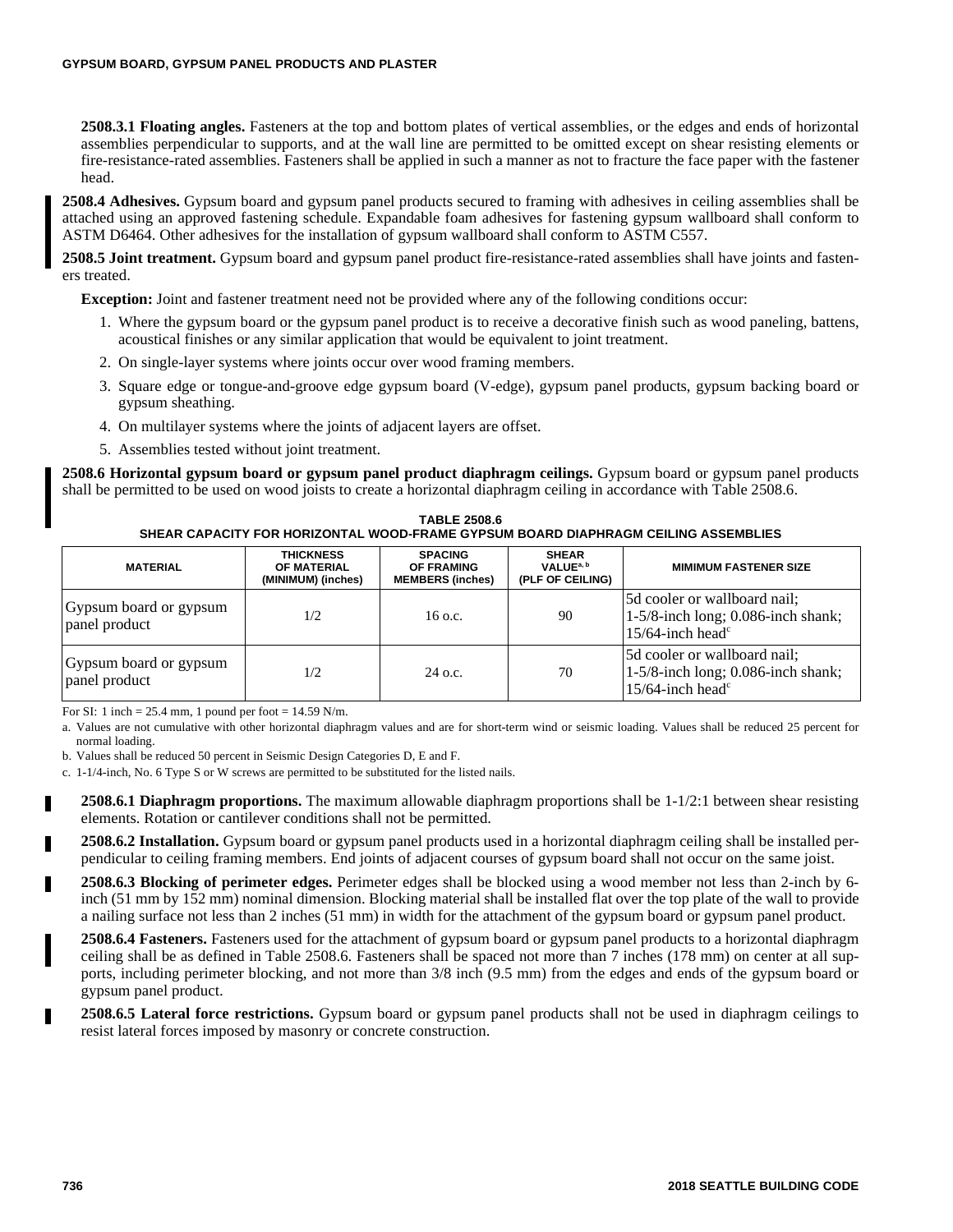**2508.3.1 Floating angles.** Fasteners at the top and bottom plates of vertical assemblies, or the edges and ends of horizontal assemblies perpendicular to supports, and at the wall line are permitted to be omitted except on shear resisting elements or fire-resistance-rated assemblies. Fasteners shall be applied in such a manner as not to fracture the face paper with the fastener head.

**2508.4 Adhesives.** Gypsum board and gypsum panel products secured to framing with adhesives in ceiling assemblies shall be attached using an approved fastening schedule. Expandable foam adhesives for fastening gypsum wallboard shall conform to ASTM D6464. Other adhesives for the installation of gypsum wallboard shall conform to ASTM C557.

**2508.5 Joint treatment.** Gypsum board and gypsum panel product fire-resistance-rated assemblies shall have joints and fasteners treated.

**Exception:** Joint and fastener treatment need not be provided where any of the following conditions occur:

- 1. Where the gypsum board or the gypsum panel product is to receive a decorative finish such as wood paneling, battens, acoustical finishes or any similar application that would be equivalent to joint treatment.
- 2. On single-layer systems where joints occur over wood framing members.
- 3. Square edge or tongue-and-groove edge gypsum board (V-edge), gypsum panel products, gypsum backing board or gypsum sheathing.
- 4. On multilayer systems where the joints of adjacent layers are offset.
- 5. Assemblies tested without joint treatment.

**2508.6 Horizontal gypsum board or gypsum panel product diaphragm ceilings.** Gypsum board or gypsum panel products shall be permitted to be used on wood joists to create a horizontal diaphragm ceiling in accordance with Table 2508.6.

**TABLE 2508.6 SHEAR CAPACITY FOR HORIZONTAL WOOD-FRAME GYPSUM BOARD DIAPHRAGM CEILING ASSEMBLIES**

| <b>MATERIAL</b>                         | <b>THICKNESS</b><br>OF MATERIAL<br>(MINIMUM) (inches) | <b>SPACING</b><br><b>OF FRAMING</b><br><b>MEMBERS (inches)</b> | <b>SHEAR</b><br>VALUE <sup>a, b</sup><br>(PLF OF CEILING) | <b>MIMIMUM FASTENER SIZE</b>                                                                             |
|-----------------------------------------|-------------------------------------------------------|----------------------------------------------------------------|-----------------------------------------------------------|----------------------------------------------------------------------------------------------------------|
| Gypsum board or gypsum<br>panel product | 1/2                                                   | 16 o.c.                                                        | 90                                                        | 5d cooler or wallboard nail:<br>$1-5/8$ -inch long; 0.086-inch shank;<br>$15/64$ -inch head <sup>c</sup> |
| Gypsum board or gypsum<br>panel product | 1/2                                                   | $24$ o.c.                                                      | 70                                                        | 5d cooler or wallboard nail;<br>$1-5/8$ -inch long; 0.086-inch shank;<br>$15/64$ -inch head <sup>c</sup> |

For SI: 1 inch =  $25.4$  mm, 1 pound per foot =  $14.59$  N/m.

a. Values are not cumulative with other horizontal diaphragm values and are for short-term wind or seismic loading. Values shall be reduced 25 percent for normal loading.

b. Values shall be reduced 50 percent in Seismic Design Categories D, E and F.

c. 1-1/4-inch, No. 6 Type S or W screws are permitted to be substituted for the listed nails.

**2508.6.1 Diaphragm proportions.** The maximum allowable diaphragm proportions shall be 1-1/2:1 between shear resisting elements. Rotation or cantilever conditions shall not be permitted.

**2508.6.2 Installation.** Gypsum board or gypsum panel products used in a horizontal diaphragm ceiling shall be installed perpendicular to ceiling framing members. End joints of adjacent courses of gypsum board shall not occur on the same joist.

**2508.6.3 Blocking of perimeter edges.** Perimeter edges shall be blocked using a wood member not less than 2-inch by 6 inch (51 mm by 152 mm) nominal dimension. Blocking material shall be installed flat over the top plate of the wall to provide a nailing surface not less than 2 inches (51 mm) in width for the attachment of the gypsum board or gypsum panel product.

**2508.6.4 Fasteners.** Fasteners used for the attachment of gypsum board or gypsum panel products to a horizontal diaphragm ceiling shall be as defined in Table 2508.6. Fasteners shall be spaced not more than 7 inches (178 mm) on center at all supports, including perimeter blocking, and not more than 3/8 inch (9.5 mm) from the edges and ends of the gypsum board or gypsum panel product.

**2508.6.5 Lateral force restrictions.** Gypsum board or gypsum panel products shall not be used in diaphragm ceilings to resist lateral forces imposed by masonry or concrete construction.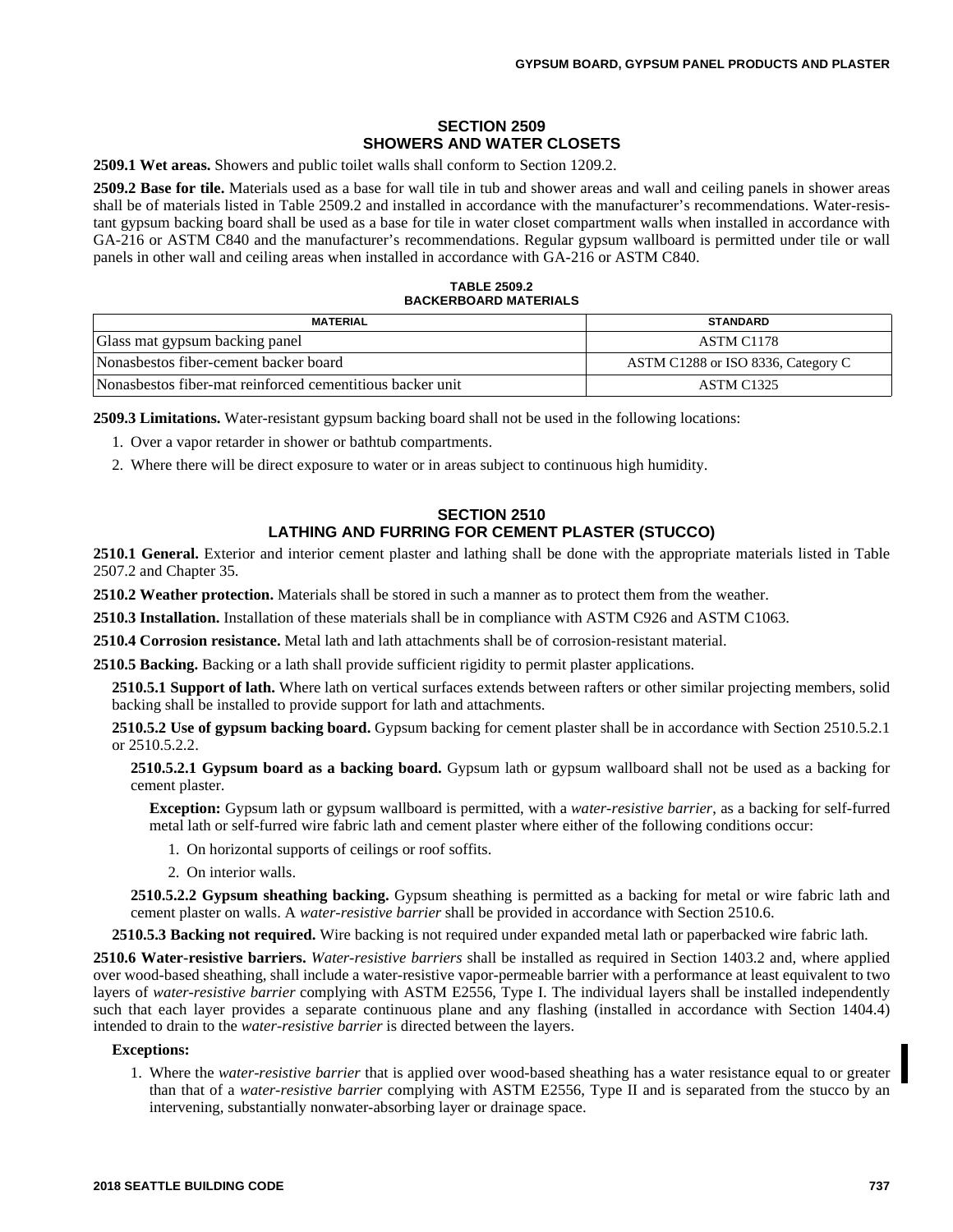# **SECTION 2509 SHOWERS AND WATER CLOSETS**

**2509.1 Wet areas.** Showers and public toilet walls shall conform to Section 1209.2.

**2509.2 Base for tile.** Materials used as a base for wall tile in tub and shower areas and wall and ceiling panels in shower areas shall be of materials listed in Table 2509.2 and installed in accordance with the manufacturer's recommendations. Water-resistant gypsum backing board shall be used as a base for tile in water closet compartment walls when installed in accordance with GA-216 or ASTM C840 and the manufacturer's recommendations. Regular gypsum wallboard is permitted under tile or wall panels in other wall and ceiling areas when installed in accordance with GA-216 or ASTM C840.

#### **TABLE 2509.2 BACKERBOARD MATERIALS**

| <b>MATERIAL</b>                                           | <b>STANDARD</b>                    |
|-----------------------------------------------------------|------------------------------------|
| Glass mat gypsum backing panel                            | ASTM C1178                         |
| Nonasbestos fiber-cement backer board                     | ASTM C1288 or ISO 8336, Category C |
| Nonasbestos fiber-mat reinforced cementitious backer unit | ASTM C1325                         |

**2509.3 Limitations.** Water-resistant gypsum backing board shall not be used in the following locations:

- 1. Over a vapor retarder in shower or bathtub compartments.
- 2. Where there will be direct exposure to water or in areas subject to continuous high humidity.

# **SECTION 2510 LATHING AND FURRING FOR CEMENT PLASTER (STUCCO)**

**2510.1 General.** Exterior and interior cement plaster and lathing shall be done with the appropriate materials listed in Table 2507.2 and Chapter 35.

**2510.2 Weather protection.** Materials shall be stored in such a manner as to protect them from the weather.

**2510.3 Installation.** Installation of these materials shall be in compliance with ASTM C926 and ASTM C1063.

**2510.4 Corrosion resistance.** Metal lath and lath attachments shall be of corrosion-resistant material.

**2510.5 Backing.** Backing or a lath shall provide sufficient rigidity to permit plaster applications.

**2510.5.1 Support of lath.** Where lath on vertical surfaces extends between rafters or other similar projecting members, solid backing shall be installed to provide support for lath and attachments.

**2510.5.2 Use of gypsum backing board.** Gypsum backing for cement plaster shall be in accordance with Section 2510.5.2.1 or 2510.5.2.2.

**2510.5.2.1 Gypsum board as a backing board.** Gypsum lath or gypsum wallboard shall not be used as a backing for cement plaster.

**Exception:** Gypsum lath or gypsum wallboard is permitted, with a *water-resistive barrier*, as a backing for self-furred metal lath or self-furred wire fabric lath and cement plaster where either of the following conditions occur:

1. On horizontal supports of ceilings or roof soffits.

2. On interior walls.

**2510.5.2.2 Gypsum sheathing backing.** Gypsum sheathing is permitted as a backing for metal or wire fabric lath and cement plaster on walls. A *water-resistive barrier* shall be provided in accordance with Section 2510.6.

**2510.5.3 Backing not required.** Wire backing is not required under expanded metal lath or paperbacked wire fabric lath.

**2510.6 Water-resistive barriers.** *Water-resistive barriers* shall be installed as required in Section 1403.2 and, where applied over wood-based sheathing, shall include a water-resistive vapor-permeable barrier with a performance at least equivalent to two layers of *water-resistive barrier* complying with ASTM E2556, Type I. The individual layers shall be installed independently such that each layer provides a separate continuous plane and any flashing (installed in accordance with Section 1404.4) intended to drain to the *water-resistive barrier* is directed between the layers.

#### **Exceptions:**

1. Where the *water-resistive barrier* that is applied over wood-based sheathing has a water resistance equal to or greater than that of a *water-resistive barrier* complying with ASTM E2556, Type II and is separated from the stucco by an intervening, substantially nonwater-absorbing layer or drainage space.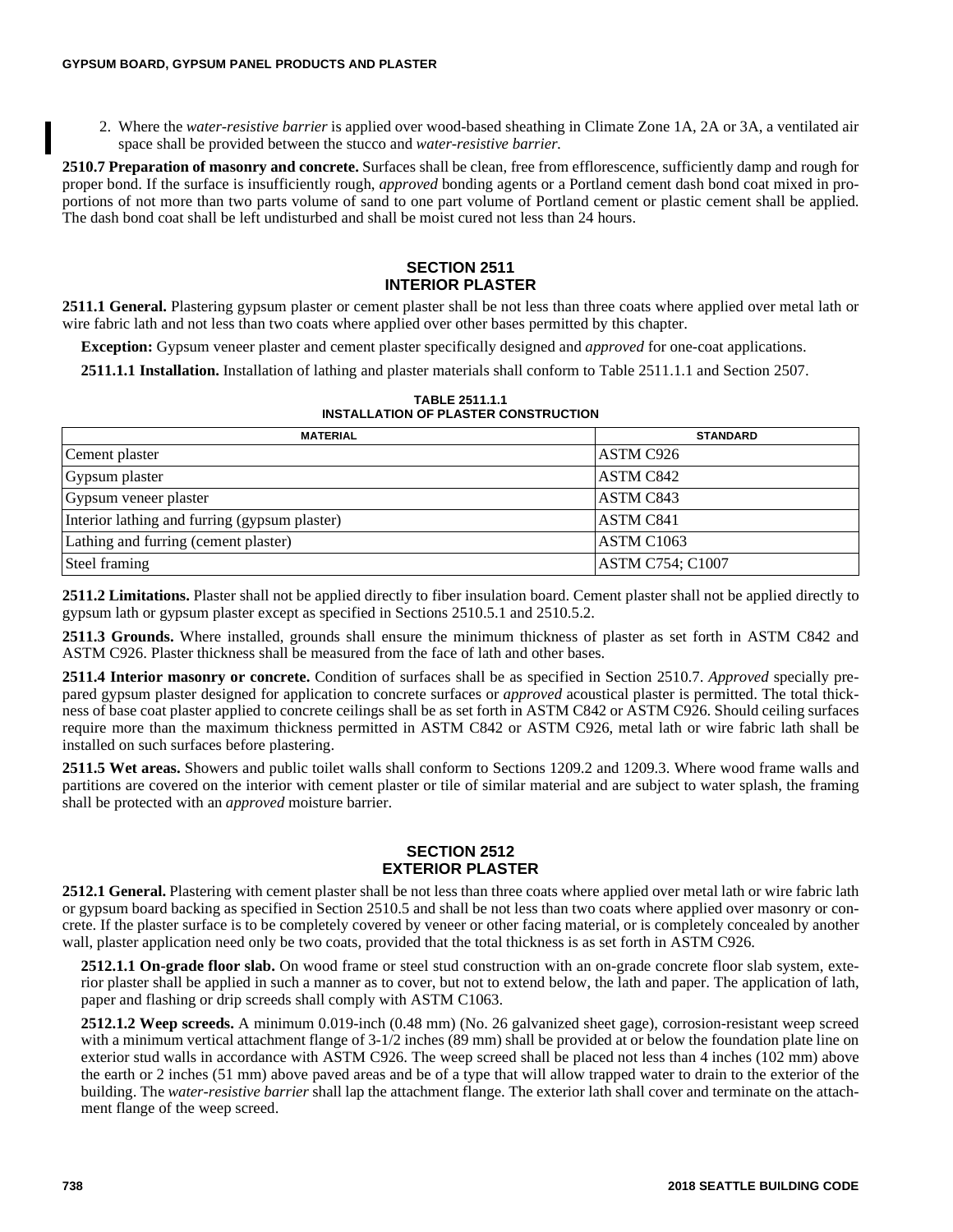2. Where the *water-resistive barrier* is applied over wood-based sheathing in Climate Zone 1A, 2A or 3A, a ventilated air space shall be provided between the stucco and *water-resistive barrier.*

**2510.7 Preparation of masonry and concrete.** Surfaces shall be clean, free from efflorescence, sufficiently damp and rough for proper bond. If the surface is insufficiently rough, *approved* bonding agents or a Portland cement dash bond coat mixed in proportions of not more than two parts volume of sand to one part volume of Portland cement or plastic cement shall be applied. The dash bond coat shall be left undisturbed and shall be moist cured not less than 24 hours.

## **SECTION 2511 INTERIOR PLASTER**

**2511.1 General.** Plastering gypsum plaster or cement plaster shall be not less than three coats where applied over metal lath or wire fabric lath and not less than two coats where applied over other bases permitted by this chapter.

**Exception:** Gypsum veneer plaster and cement plaster specifically designed and *approved* for one-coat applications.

**2511.1.1 Installation.** Installation of lathing and plaster materials shall conform to Table 2511.1.1 and Section 2507.

| <b>MATERIAL</b>                               | <b>STANDARD</b>         |
|-----------------------------------------------|-------------------------|
| Cement plaster                                | ASTM C926               |
| Gypsum plaster                                | ASTM C842               |
| Gypsum veneer plaster                         | ASTM C843               |
| Interior lathing and furring (gypsum plaster) | ASTM C841               |
| Lathing and furring (cement plaster)          | ASTM C1063              |
| Steel framing                                 | <b>ASTM C754; C1007</b> |

#### **TABLE 2511.1.1 INSTALLATION OF PLASTER CONSTRUCTION**

**2511.2 Limitations.** Plaster shall not be applied directly to fiber insulation board. Cement plaster shall not be applied directly to gypsum lath or gypsum plaster except as specified in Sections 2510.5.1 and 2510.5.2.

**2511.3 Grounds.** Where installed, grounds shall ensure the minimum thickness of plaster as set forth in ASTM C842 and ASTM C926. Plaster thickness shall be measured from the face of lath and other bases.

**2511.4 Interior masonry or concrete.** Condition of surfaces shall be as specified in Section 2510.7. *Approved* specially prepared gypsum plaster designed for application to concrete surfaces or *approved* acoustical plaster is permitted. The total thickness of base coat plaster applied to concrete ceilings shall be as set forth in ASTM C842 or ASTM C926. Should ceiling surfaces require more than the maximum thickness permitted in ASTM C842 or ASTM C926, metal lath or wire fabric lath shall be installed on such surfaces before plastering.

**2511.5 Wet areas.** Showers and public toilet walls shall conform to Sections 1209.2 and 1209.3. Where wood frame walls and partitions are covered on the interior with cement plaster or tile of similar material and are subject to water splash, the framing shall be protected with an *approved* moisture barrier.

### **SECTION 2512 EXTERIOR PLASTER**

**2512.1 General.** Plastering with cement plaster shall be not less than three coats where applied over metal lath or wire fabric lath or gypsum board backing as specified in Section 2510.5 and shall be not less than two coats where applied over masonry or concrete. If the plaster surface is to be completely covered by veneer or other facing material, or is completely concealed by another wall, plaster application need only be two coats, provided that the total thickness is as set forth in ASTM C926.

**2512.1.1 On-grade floor slab.** On wood frame or steel stud construction with an on-grade concrete floor slab system, exterior plaster shall be applied in such a manner as to cover, but not to extend below, the lath and paper. The application of lath, paper and flashing or drip screeds shall comply with ASTM C1063.

**2512.1.2 Weep screeds.** A minimum 0.019-inch (0.48 mm) (No. 26 galvanized sheet gage), corrosion-resistant weep screed with a minimum vertical attachment flange of 3-1/2 inches (89 mm) shall be provided at or below the foundation plate line on exterior stud walls in accordance with ASTM C926. The weep screed shall be placed not less than 4 inches (102 mm) above the earth or 2 inches (51 mm) above paved areas and be of a type that will allow trapped water to drain to the exterior of the building. The *water-resistive barrier* shall lap the attachment flange. The exterior lath shall cover and terminate on the attachment flange of the weep screed.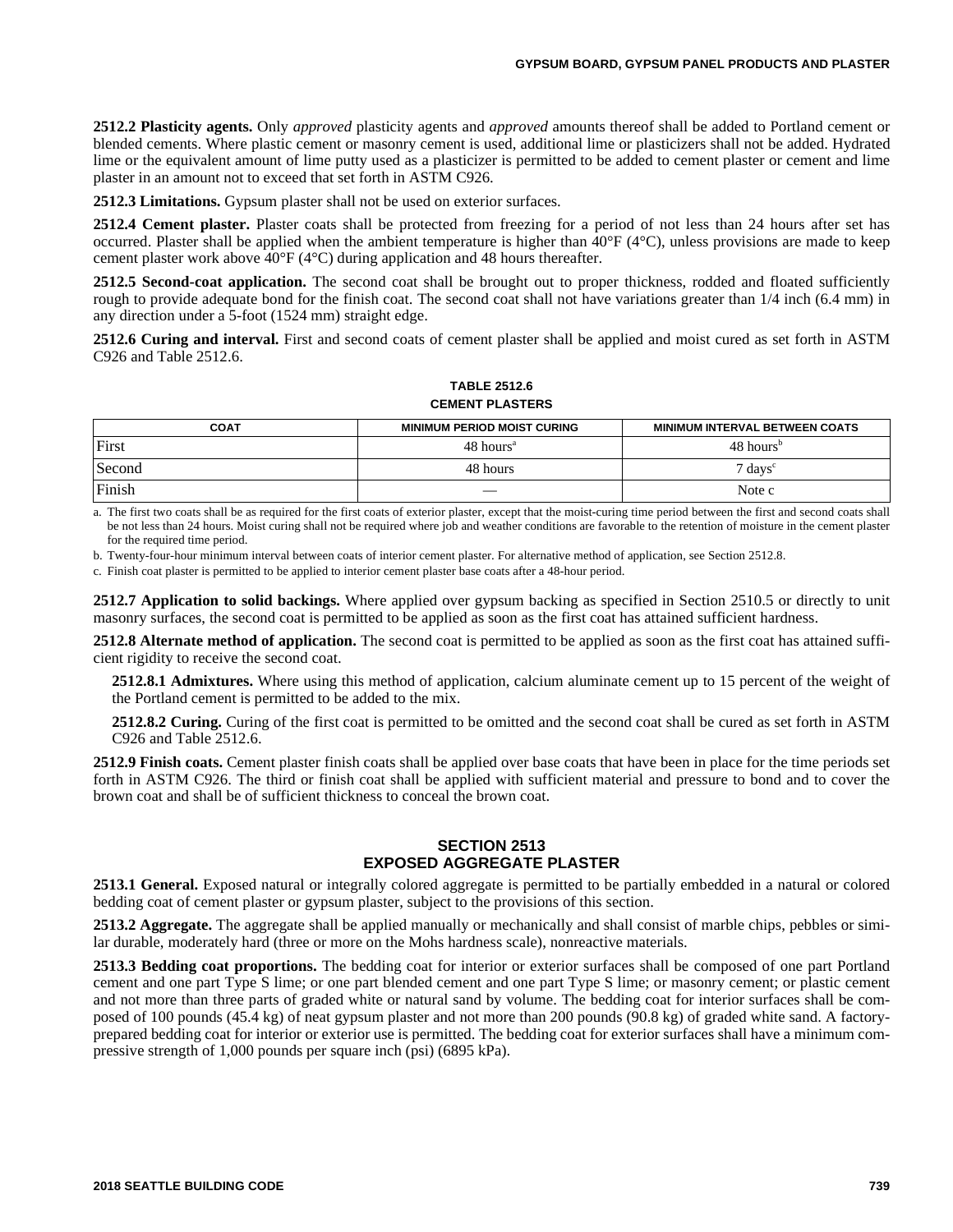**2512.2 Plasticity agents.** Only *approved* plasticity agents and *approved* amounts thereof shall be added to Portland cement or blended cements. Where plastic cement or masonry cement is used, additional lime or plasticizers shall not be added. Hydrated lime or the equivalent amount of lime putty used as a plasticizer is permitted to be added to cement plaster or cement and lime plaster in an amount not to exceed that set forth in ASTM C926.

**2512.3 Limitations.** Gypsum plaster shall not be used on exterior surfaces.

**2512.4 Cement plaster.** Plaster coats shall be protected from freezing for a period of not less than 24 hours after set has occurred. Plaster shall be applied when the ambient temperature is higher than  $40^{\circ}F (4^{\circ}C)$ , unless provisions are made to keep cement plaster work above 40°F (4°C) during application and 48 hours thereafter.

**2512.5 Second-coat application.** The second coat shall be brought out to proper thickness, rodded and floated sufficiently rough to provide adequate bond for the finish coat. The second coat shall not have variations greater than  $1/4$  inch (6.4 mm) in any direction under a 5-foot (1524 mm) straight edge.

**2512.6 Curing and interval.** First and second coats of cement plaster shall be applied and moist cured as set forth in ASTM C926 and Table 2512.6.

# **TABLE 2512.6 CEMENT PLASTERS**

| <b>COAT</b> | <b>MINIMUM PERIOD MOIST CURING</b> | <b>MINIMUM INTERVAL BETWEEN COATS</b> |
|-------------|------------------------------------|---------------------------------------|
| First       | $48$ hours <sup>a</sup>            | $48$ hours <sup>t</sup>               |
| Second      | 48 hours                           | 7 days <sup>c</sup>                   |
| Finish      |                                    | Note c                                |

a. The first two coats shall be as required for the first coats of exterior plaster, except that the moist-curing time period between the first and second coats shall be not less than 24 hours. Moist curing shall not be required where job and weather conditions are favorable to the retention of moisture in the cement plaster for the required time period.

b. Twenty-four-hour minimum interval between coats of interior cement plaster. For alternative method of application, see Section 2512.8.

c. Finish coat plaster is permitted to be applied to interior cement plaster base coats after a 48-hour period.

**2512.7 Application to solid backings.** Where applied over gypsum backing as specified in Section 2510.5 or directly to unit masonry surfaces, the second coat is permitted to be applied as soon as the first coat has attained sufficient hardness.

**2512.8 Alternate method of application.** The second coat is permitted to be applied as soon as the first coat has attained sufficient rigidity to receive the second coat.

**2512.8.1 Admixtures.** Where using this method of application, calcium aluminate cement up to 15 percent of the weight of the Portland cement is permitted to be added to the mix.

**2512.8.2 Curing.** Curing of the first coat is permitted to be omitted and the second coat shall be cured as set forth in ASTM C926 and Table 2512.6.

**2512.9 Finish coats.** Cement plaster finish coats shall be applied over base coats that have been in place for the time periods set forth in ASTM C926. The third or finish coat shall be applied with sufficient material and pressure to bond and to cover the brown coat and shall be of sufficient thickness to conceal the brown coat.

### **SECTION 2513 EXPOSED AGGREGATE PLASTER**

**2513.1 General.** Exposed natural or integrally colored aggregate is permitted to be partially embedded in a natural or colored bedding coat of cement plaster or gypsum plaster, subject to the provisions of this section.

**2513.2 Aggregate.** The aggregate shall be applied manually or mechanically and shall consist of marble chips, pebbles or similar durable, moderately hard (three or more on the Mohs hardness scale), nonreactive materials.

**2513.3 Bedding coat proportions.** The bedding coat for interior or exterior surfaces shall be composed of one part Portland cement and one part Type S lime; or one part blended cement and one part Type S lime; or masonry cement; or plastic cement and not more than three parts of graded white or natural sand by volume. The bedding coat for interior surfaces shall be composed of 100 pounds (45.4 kg) of neat gypsum plaster and not more than 200 pounds (90.8 kg) of graded white sand. A factoryprepared bedding coat for interior or exterior use is permitted. The bedding coat for exterior surfaces shall have a minimum compressive strength of 1,000 pounds per square inch (psi) (6895 kPa).